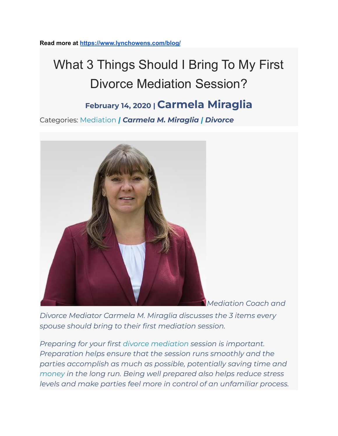**Read more at <https://www.lynchowens.com/blog/>**

# What 3 Things Should I Bring To My First Divorce Mediation Session?

# **February 14, <sup>2020</sup> <sup>|</sup> Carmela Miraglia**

Categories: [Mediation](https://madivorcemediators.com/blog/) *| [Carmela](https://www.lynchowens.com/blog/categories/carmela-m-miraglia/) M. Miraglia | [Divorce](https://www.lynchowens.com/blog/categories/divorce/)*



*Mediation Coach and*

*Divorce Mediator Carmela M. Miraglia discusses the 3 items every spouse should bring to their first mediation session.*

*Preparing for your first divorce [mediation](https://madivorcemediators.com/divorce-family-mediation-services/) session is important. Preparation helps ensure that the session runs smoothly and the parties accomplish as much as possible, potentially saving time and [money](https://madivorcemediators.com/ufaq-category/mediation-costs/) in the long run. Being well prepared also helps reduce stress levels and make parties feel more in control of an unfamiliar process.*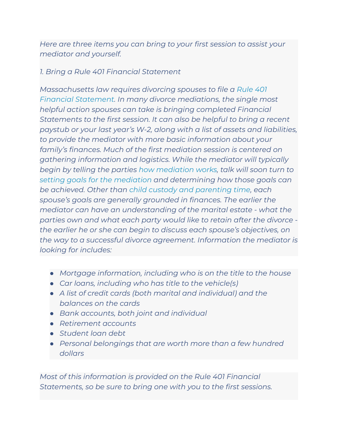*Here are three items you can bring to your first session to assist your mediator and yourself.*

#### *1. Bring a Rule 401 Financial Statement*

*Massachusetts law requires divorcing spouses to file a [Rule](https://www.lynchowens.com/blog/2017/march/preparing-financial-statements-in-massachusetts-/) 401 Financial [Statement.](https://www.lynchowens.com/blog/2017/march/preparing-financial-statements-in-massachusetts-/) In many divorce mediations, the single most helpful action spouses can take is bringing completed Financial Statements to the first session. It can also be helpful to bring a recent paystub or your last year's W-2, along with a list of assets and liabilities, to provide the mediator with more basic information about your family's finances. Much of the first mediation session is centered on gathering information and logistics. While the mediator will typically begin by telling the parties how [mediation](https://madivorcemediators.com/ufaqs/how-does-it-work/) works, talk will soon turn to setting goals for the [mediation](https://madivorcemediators.com/ufaqs/what-goals-should-i-set-before-my-divorce-mediation/) and determining how those goals can be achieved. Other than child custody and [parenting](https://madivorcemediators.com/mediating-tips-child-custody-parenting-time/) time, each spouse's goals are generally grounded in finances. The earlier the mediator can have an understanding of the marital estate - what the parties own and what each party would like to retain after the divorce the earlier he or she can begin to discuss each spouse's objectives, on the way to a successful divorce agreement. Information the mediator is looking for includes:*

- *● Mortgage information, including who is on the title to the house*
- *● Car loans, including who has title to the vehicle(s)*
- *● A list of credit cards (both marital and individual) and the balances on the cards*
- *● Bank accounts, both joint and individual*
- *● Retirement accounts*
- *● Student loan debt*
- *● Personal belongings that are worth more than a few hundred dollars*

*Most of this information is provided on the Rule 401 Financial Statements, so be sure to bring one with you to the first sessions.*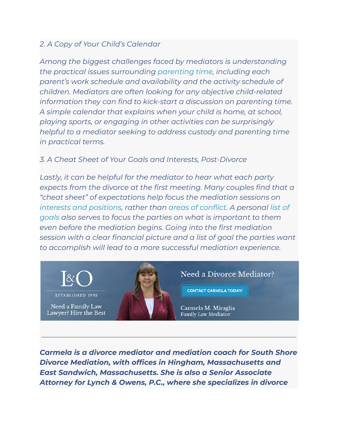## *2. A Copy of Your Child's Calendar*

*Among the biggest challenges faced by mediators is understanding the practical issues surrounding [parenting](https://madivorcemediators.com/mediating-tips-child-custody-parenting-time/) time, including each parent's work schedule and availability and the activity schedule of children. Mediators are often looking for any objective child-related information they can find to kick-start a discussion on parenting time. A simple calendar that explains when your child is home, at school, playing sports, or engaging in other activities can be surprisingly helpful to a mediator seeking to address custody and parenting time in practical terms.*

## *3. A Cheat Sheet of Your Goals and Interests, Post-Divorce*

*Lastly, it can be helpful for the mediator to hear what each party expects from the divorce at the first meeting. Many couples find that a "cheat sheet" of expectations help focus the mediation sessions on interests and [positions](https://madivorcemediators.com/understanding-interests-vs-positions-divorce-mediation/), rather than areas of [conflict](https://madivorcemediators.com/overcoming-negative-emotions-mediation-process/). A personal [list](https://madivorcemediators.com/importance-defining-goals-divorce-mediation/) of [goals](https://madivorcemediators.com/importance-defining-goals-divorce-mediation/) also serves to focus the parties on what is important to them even before the mediation begins. Going into the first mediation session with a clear financial picture and a list of goal the parties want to accomplish will lead to a more successful mediation experience.*



Need a Family Law Lawyer? Hire the Best



Need a Divorce Mediator?

**CONTACT CARMELA TODAY!** 

Carmela M. Miraglia Family Law Mediator

*Carmela is a divorce mediator and mediation coach for South Shore Divorce Mediation, with offices in Hingham, Massachusetts and East Sandwich, Massachusetts. She is also a Senior Associate Attorney for Lynch & Owens, P.C., where she specializes in divorce*